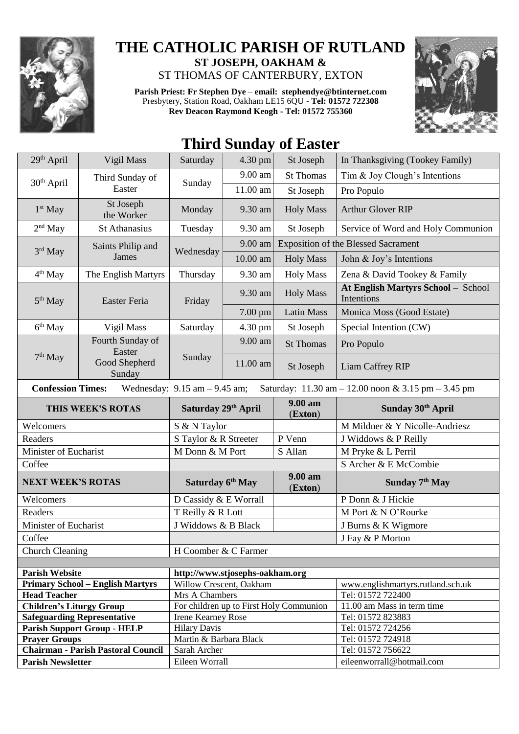

## **THE CATHOLIC PARISH OF RUTLAND ST JOSEPH, OAKHAM &**  ST THOMAS OF CANTERBURY, EXTON

**Parish Priest: Fr Stephen Dye** – **[email: stephendye@btinternet.com](mailto:email:%20%20stephendye@btinternet.com)** Presbytery, Station Road, Oakham LE15 6QU - **Tel: 01572 722308 Rev Deacon Raymond Keogh - Tel: 01572 755360**



## **Third Sunday of Easter**

| 29th April                                                                                                           | Vigil Mass                                | Saturday                        | 4.30 pm    | St Joseph                               | In Thanksgiving (Tookey Family)                  |  |  |  |
|----------------------------------------------------------------------------------------------------------------------|-------------------------------------------|---------------------------------|------------|-----------------------------------------|--------------------------------------------------|--|--|--|
| $30th$ April                                                                                                         | Third Sunday of<br>Easter                 | Sunday                          | 9.00 am    | <b>St Thomas</b>                        | Tim & Joy Clough's Intentions                    |  |  |  |
|                                                                                                                      |                                           |                                 | 11.00 am   | St Joseph                               | Pro Populo                                       |  |  |  |
| $1st$ May                                                                                                            | St Joseph<br>the Worker                   | Monday                          | 9.30 am    | <b>Holy Mass</b>                        | <b>Arthur Glover RIP</b>                         |  |  |  |
| $2nd$ May                                                                                                            | <b>St Athanasius</b>                      | Tuesday                         | 9.30 am    | St Joseph                               | Service of Word and Holy Communion               |  |  |  |
| $3rd$ May                                                                                                            | Saints Philip and<br><b>James</b>         | Wednesday                       | 9.00 am    |                                         | <b>Exposition of the Blessed Sacrament</b>       |  |  |  |
|                                                                                                                      |                                           |                                 | $10.00$ am | <b>Holy Mass</b>                        | John & Joy's Intentions                          |  |  |  |
| $4th$ May                                                                                                            | The English Martyrs                       | Thursday                        | 9.30 am    | <b>Holy Mass</b>                        | Zena & David Tookey & Family                     |  |  |  |
| $5th$ May                                                                                                            | Easter Feria                              | Friday                          | 9.30 am    | <b>Holy Mass</b>                        | At English Martyrs School - School<br>Intentions |  |  |  |
|                                                                                                                      |                                           |                                 | 7.00 pm    | <b>Latin Mass</b>                       | Monica Moss (Good Estate)                        |  |  |  |
| 6 <sup>th</sup> May                                                                                                  | Vigil Mass                                | Saturday                        | 4.30 pm    | St Joseph                               | Special Intention (CW)                           |  |  |  |
| $7th$ May                                                                                                            | Fourth Sunday of<br>Easter                | Sunday                          | 9.00 am    | <b>St Thomas</b>                        | Pro Populo                                       |  |  |  |
|                                                                                                                      | Good Shepherd<br>Sunday                   |                                 | 11.00 am   | St Joseph                               | Liam Caffrey RIP                                 |  |  |  |
| <b>Confession Times:</b><br>Wednesday: $9.15$ am $- 9.45$ am;<br>Saturday: 11.30 am - 12.00 noon & 3.15 pm - 3.45 pm |                                           |                                 |            |                                         |                                                  |  |  |  |
| THIS WEEK'S ROTAS                                                                                                    |                                           | Saturday 29th April             |            | 9.00 am                                 |                                                  |  |  |  |
|                                                                                                                      |                                           |                                 |            | (Exton)                                 | Sunday 30th April                                |  |  |  |
| Welcomers                                                                                                            |                                           | S & N Taylor                    |            |                                         | M Mildner & Y Nicolle-Andriesz                   |  |  |  |
| Readers                                                                                                              |                                           | S Taylor & R Streeter           |            | P Venn                                  | J Widdows & P Reilly                             |  |  |  |
| Minister of Eucharist                                                                                                |                                           | M Donn & M Port                 |            | S Allan                                 | M Pryke & L Perril                               |  |  |  |
| Coffee                                                                                                               |                                           |                                 |            |                                         | S Archer & E McCombie                            |  |  |  |
| <b>NEXT WEEK'S ROTAS</b>                                                                                             |                                           | Saturday 6 <sup>th</sup> May    |            | 9.00 am<br>(Exton)                      | Sunday 7 <sup>th</sup> May                       |  |  |  |
| Welcomers                                                                                                            |                                           | D Cassidy & E Worrall           |            |                                         | P Donn & J Hickie                                |  |  |  |
| Readers                                                                                                              |                                           | T Reilly & R Lott               |            |                                         | M Port & N O'Rourke                              |  |  |  |
| Minister of Eucharist                                                                                                |                                           | J Widdows & B Black             |            |                                         | J Burns & K Wigmore                              |  |  |  |
| Coffee                                                                                                               |                                           |                                 |            |                                         | J Fay & P Morton                                 |  |  |  |
| <b>Church Cleaning</b>                                                                                               |                                           | H Coomber & C Farmer            |            |                                         |                                                  |  |  |  |
|                                                                                                                      |                                           |                                 |            |                                         |                                                  |  |  |  |
| <b>Parish Website</b>                                                                                                |                                           | http://www.stjosephs-oakham.org |            |                                         |                                                  |  |  |  |
|                                                                                                                      | <b>Primary School - English Martyrs</b>   | Willow Crescent, Oakham         |            |                                         | www.englishmartyrs.rutland.sch.uk                |  |  |  |
| <b>Head Teacher</b>                                                                                                  |                                           | Mrs A Chambers                  |            |                                         | Tel: 01572 722400                                |  |  |  |
| <b>Children's Liturgy Group</b>                                                                                      |                                           |                                 |            | For children up to First Holy Communion | 11.00 am Mass in term time                       |  |  |  |
|                                                                                                                      | <b>Safeguarding Representative</b>        | Irene Kearney Rose              |            |                                         | Tel: 01572 823883                                |  |  |  |
|                                                                                                                      | <b>Parish Support Group - HELP</b>        | <b>Hilary Davis</b>             |            |                                         | Tel: 01572 724256                                |  |  |  |
| <b>Prayer Groups</b>                                                                                                 |                                           | Martin & Barbara Black          |            |                                         | Tel: 01572 724918                                |  |  |  |
| <b>Parish Newsletter</b>                                                                                             | <b>Chairman - Parish Pastoral Council</b> | Sarah Archer<br>Eileen Worrall  |            |                                         | Tel: 01572 756622<br>eileenworrall@hotmail.com   |  |  |  |